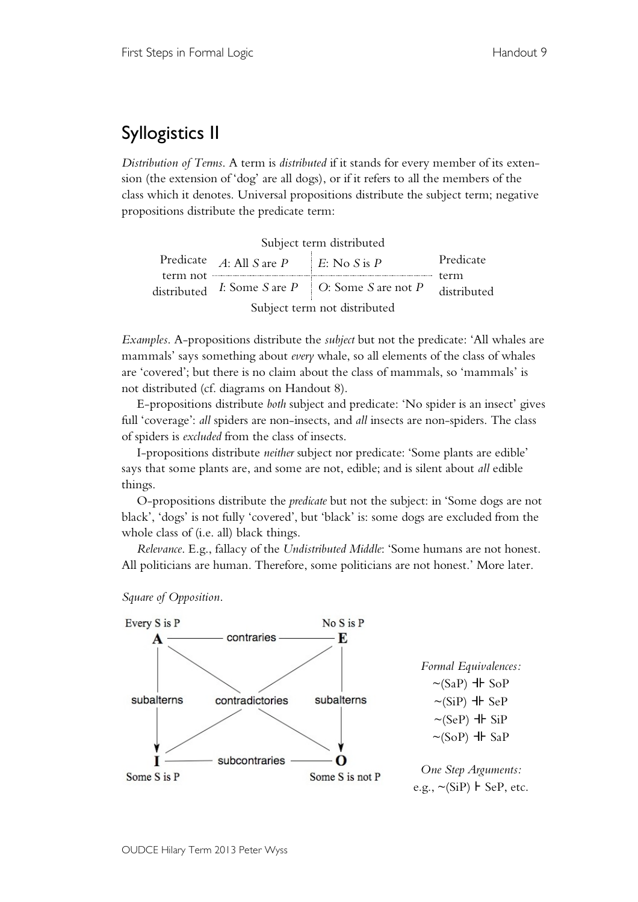## Syllogistics II

*Distribution of Terms*. A term is *distributed* if it stands for every member of its extension (the extension of 'dog' are all dogs), or if it refers to all the members of the class which it denotes. Universal propositions distribute the subject term; negative propositions distribute the predicate term:

| Subject term distributed     |                            |                                                         |                                  |  |  |  |  |
|------------------------------|----------------------------|---------------------------------------------------------|----------------------------------|--|--|--|--|
| term not                     | Predicate $A:$ All S are P | E: No S is P                                            | Predicate<br>term<br>distributed |  |  |  |  |
|                              |                            | distributed I: Some S are $P \mid O$ : Some S are not P |                                  |  |  |  |  |
| Subject term not distributed |                            |                                                         |                                  |  |  |  |  |

*Examples*. A-propositions distribute the *subject* but not the predicate: 'All whales are mammals' says something about *every* whale, so all elements of the class of whales are 'covered'; but there is no claim about the class of mammals, so 'mammals' is not distributed (cf. diagrams on Handout 8).

E-propositions distribute *both* subject and predicate: 'No spider is an insect' gives full 'coverage': *all* spiders are non-insects, and *all* insects are non-spiders. The class of spiders is *excluded* from the class of insects.

I-propositions distribute *neither* subject nor predicate: 'Some plants are edible' says that some plants are, and some are not, edible; and is silent about *all* edible things.

O-propositions distribute the *predicate* but not the subject: in 'Some dogs are not black', 'dogs' is not fully 'covered', but 'black' is: some dogs are excluded from the whole class of (i.e. all) black things.

*Relevance*. E.g., fallacy of the *Undistributed Middle*: 'Some humans are not honest. All politicians are human. Therefore, some politicians are not honest.' More later.